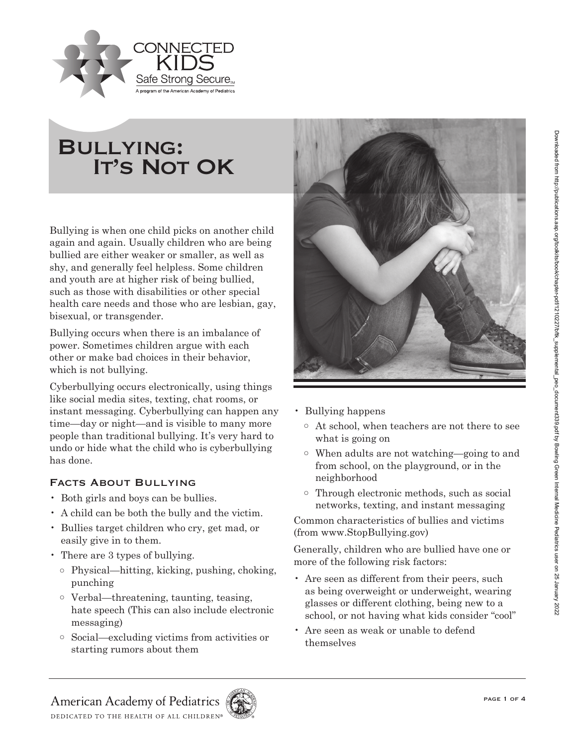

# Bullying: **IT'S NOT OK**

Bullying is when one child picks on another child again and again. Usually children who are being bullied are either weaker or smaller, as well as shy, and generally feel helpless. Some children and youth are at higher risk of being bullied, such as those with disabilities or other special health care needs and those who are lesbian, gay, bisexual, or transgender.

Bullying occurs when there is an imbalance of power. Sometimes children argue with each other or make bad choices in their behavior, which is not bullying.

Cyberbullying occurs electronically, using things like social media sites, texting, chat rooms, or instant messaging. Cyberbullying can happen any time—day or night—and is visible to many more people than traditional bullying. It's very hard to undo or hide what the child who is cyberbullying has done.

## Facts About Bullying

- Both girls and boys can be bullies.
- A child can be both the bully and the victim.
- Bullies target children who cry, get mad, or easily give in to them.
- There are 3 types of bullying.
	- o Physical—hitting, kicking, pushing, choking, punching
	- o Verbal—threatening, taunting, teasing, hate speech (This can also include electronic messaging)
	- o Social—excluding victims from activities or starting rumors about them



- Bullying happens
	- o At school, when teachers are not there to see what is going on
	- o When adults are not watching—going to and from school, on the playground, or in the neighborhood
	- o Through electronic methods, such as social networks, texting, and instant messaging

Common characteristics of bullies and victims (from www.StopBullying.gov)

Generally, children who are bullied have one or more of the following risk factors:

- Are seen as different from their peers, such as being overweight or underweight, wearing glasses or different clothing, being new to a school, or not having what kids consider "cool"
- Are seen as weak or unable to defend themselves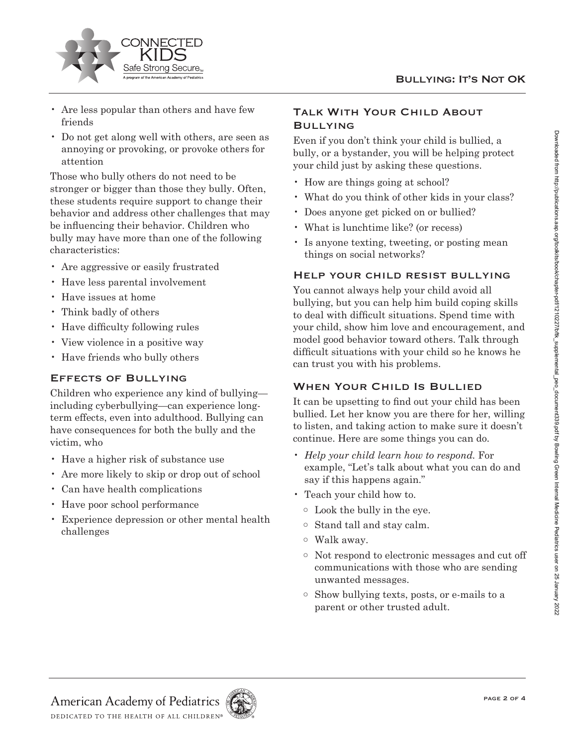

- Are less popular than others and have few friends
- Do not get along well with others, are seen as annoying or provoking, or provoke others for attention

Those who bully others do not need to be stronger or bigger than those they bully. Often, these students require support to change their behavior and address other challenges that may be influencing their behavior. Children who bully may have more than one of the following characteristics:

- Are aggressive or easily frustrated
- Have less parental involvement
- Have issues at home
- Think badly of others
- Have difficulty following rules
- View violence in a positive way
- Have friends who bully others

### Effects of Bullying

Children who experience any kind of bullying including cyberbullying—can experience longterm effects, even into adulthood. Bullying can have consequences for both the bully and the victim, who

- Have a higher risk of substance use
- Are more likely to skip or drop out of school
- Can have health complications
- Have poor school performance
- Experience depression or other mental health challenges

## Talk With Your Child About Bullying

Even if you don't think your child is bullied, a bully, or a bystander, you will be helping protect your child just by asking these questions.

- How are things going at school?
- What do you think of other kids in your class?
- Does anyone get picked on or bullied?
- What is lunchtime like? (or recess)
- Is anyone texting, tweeting, or posting mean things on social networks?

#### Help your child resist bullying

You cannot always help your child avoid all bullying, but you can help him build coping skills to deal with difficult situations. Spend time with your child, show him love and encouragement, and model good behavior toward others. Talk through difficult situations with your child so he knows he can trust you with his problems.

## WHEN YOUR CHILD IS BULLIED

It can be upsetting to find out your child has been bullied. Let her know you are there for her, willing to listen, and taking action to make sure it doesn't continue. Here are some things you can do.

- *Help your child learn how to respond.* For example, "Let's talk about what you can do and say if this happens again."
- Teach your child how to.
	- o Look the bully in the eye.
	- o Stand tall and stay calm.
	- o Walk away.
	- o Not respond to electronic messages and cut off communications with those who are sending unwanted messages.
	- o Show bullying texts, posts, or e-mails to a parent or other trusted adult.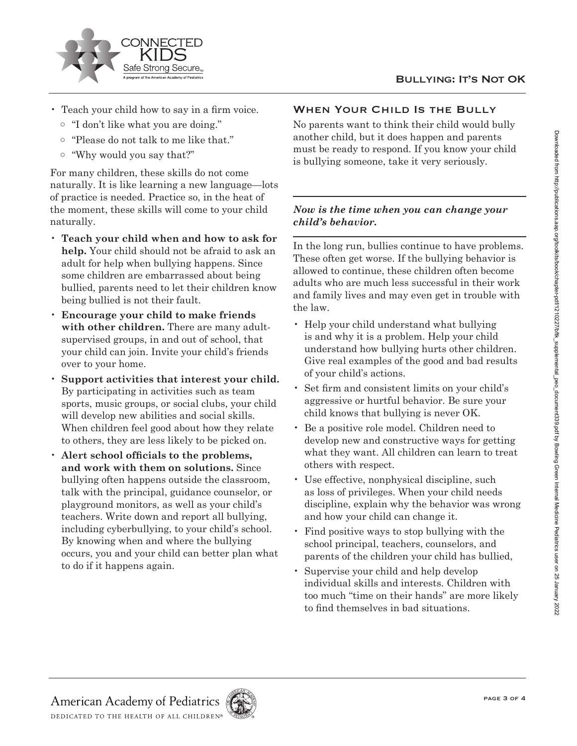

- Teach your child how to say in a firm voice.
	- o "I don't like what you are doing."
	- o "Please do not talk to me like that."
	- o "Why would you say that?"

For many children, these skills do not come naturally. It is like learning a new language—lots of practice is needed. Practice so, in the heat of the moment, these skills will come to your child naturally.

- **Teach your child when and how to ask for help.** Your child should not be afraid to ask an adult for help when bullying happens. Since some children are embarrassed about being bullied, parents need to let their children know being bullied is not their fault.
- **Encourage your child to make friends with other children.** There are many adultsupervised groups, in and out of school, that your child can join. Invite your child's friends over to your home.
- **Support activities that interest your child.** By participating in activities such as team sports, music groups, or social clubs, your child will develop new abilities and social skills. When children feel good about how they relate to others, they are less likely to be picked on.
- **Alert school officials to the problems, and work with them on solutions.** Since bullying often happens outside the classroom, talk with the principal, guidance counselor, or playground monitors, as well as your child's teachers. Write down and report all bullying, including cyberbullying, to your child's school. By knowing when and where the bullying occurs, you and your child can better plan what to do if it happens again.

# WHEN YOUR CHILD IS THE BULLY

No parents want to think their child would bully another child, but it does happen and parents must be ready to respond. If you know your child is bullying someone, take it very seriously.

## *Now is the time when you can change your child's behavior.*

In the long run, bullies continue to have problems. These often get worse. If the bullying behavior is allowed to continue, these children often become adults who are much less successful in their work and family lives and may even get in trouble with the law.

- Help your child understand what bullying is and why it is a problem. Help your child understand how bullying hurts other children. Give real examples of the good and bad results of your child's actions.
- Set firm and consistent limits on your child's aggressive or hurtful behavior. Be sure your child knows that bullying is never OK.
- Be a positive role model. Children need to develop new and constructive ways for getting what they want. All children can learn to treat others with respect.
- Use effective, nonphysical discipline, such as loss of privileges. When your child needs discipline, explain why the behavior was wrong and how your child can change it.
- Find positive ways to stop bullying with the school principal, teachers, counselors, and parents of the children your child has bullied,
- Supervise your child and help develop individual skills and interests. Children with too much "time on their hands" are more likely to find themselves in bad situations.